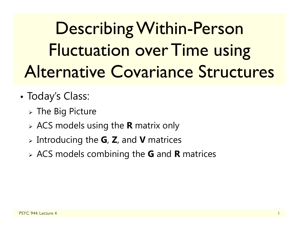Describing Within-Person Fluctuation over Time using Alternative Covariance Structures

- • Today's Class:
	- $\triangleright$  The Big Picture
	- ACS models using the **R** matrix only
	- Introducing the **G**, **Z**, and **V** matrices
	- ACS models combining the **G** and **R** matrices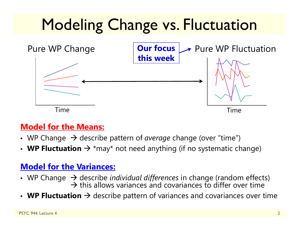

#### **Model for the Means:**

- WP Change  $\,\rightarrow$  describe pattern of *average* change (over "time")
- WP Fluctuation  $\rightarrow$  \*may\* not need anything (if no systematic change)

#### **Model for the Variances:**

- WP Change  $\,\rightarrow$  describe *individual differences* in change (random effects)  $\rightarrow$  this allows variances and covariances to differ over time
- WP Fluctuation  $\rightarrow$  describe pattern of variances and covariances over time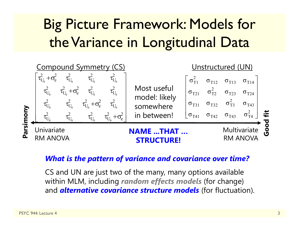## Big Picture Framework: Models for the Variance in Longitudinal Data



#### *What is the pattern of variance and covariance over time?*

CS and UN are just two of the many, many options available within MLM, including *random effects models* (for change) and *alternative covariance structure models* (for fluctuation).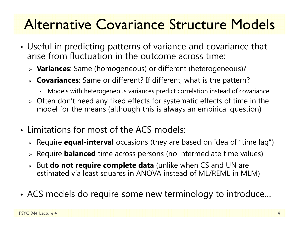## Alternative Covariance Structure Models

- • Useful in predicting patterns of variance and covariance that arise from fluctuation in the outcome across time:
	- **Variances**: Same (homogeneous) or different (heterogeneous)?
	- **Covariances**: Same or different? If different, what is the pattern?
		- n Models with heterogeneous variances predict correlation instead of covariance
	- $\triangleright$  Often don't need any fixed effects for systematic effects of time in the model for the means (although this is always an empirical question)
- Limitations for most of the ACS models:
	- Require **equal-interval** occasions (they are based on idea of "time lag")
	- Require **balanced** time across persons (no intermediate time values)
	- But **do not require complete data** (unlike when CS and UN are estimated via least squares in ANOVA instead of ML/REML in MLM)
- ACS models do require some new terminology to introduce…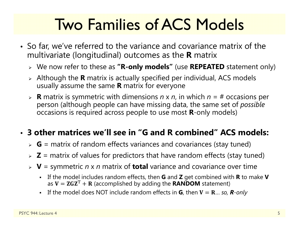# Two Families of ACS Models

- So far, we've referred to the variance and covariance matrix of the multivariate (longitudinal) outcomes as the **R** matrix
	- We now refer to these as **"R-only models"** (use **REPEATED** statement only)
	- Although the **R** matrix is actually specified per individual, ACS models usually assume the same **R** matrix for everyone
	- **R** matrix is symmetric with dimensions *n* x *<sup>n</sup>*, in which *n* = # occasions per person (although people can have missing data, the same set of *possible* occasions is required across people to use most **R**-only models)

#### • **3 other matrices we'll see in "G and R combined" ACS models:**

- **G** = matrix of random effects variances and covariances (stay tuned)
- **Z** = matrix of values for predictors that have random effects (stay tuned)
- **V** = symmetric *n* x *n* matrix of **total** variance and covariance over time
	- If the model includes random effects, then **G** and **Z** get combined with **R** to make **V** as  $\mathbf{V} = \mathbf{ZGZ}^{\mathrm{T}} + \mathbf{R}$  (accomplished by adding the  $\mathbf{RANDOM}$  statement)
	- **E** If the model does NOT include random effects in **G**, then **V** = **R**... so, **R**-only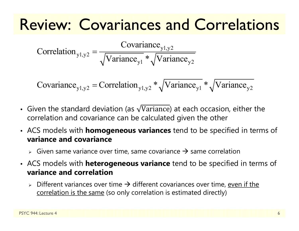## Review: Covariances and Correlations

y1,y2 y1,y2  $y1 \sqrt{2}$  variance  $y2$  $Correlation_{y1,y2} = \frac{Covariance_{y1,y2}}{T}$ Variance \* Variance Ξ

 $y_1, y_2$  – correlation  $y_1, y_2$   $\sqrt{v}$  and  $y_1, y_2$   $\sqrt{v}$  and  $y_2$  $\text{Covariance}_{\text{val},\text{val}} = \text{Correlation}_{\text{val},\text{val}} * \sqrt{\text{Variance}_{\text{val}}} * \sqrt{\text{Variance}_{\text{val}}}$ 

- Given the standard deviation (as  $\sqrt{V}$ ariance) at each occasion, either the correlation and covariance can be calculated given the other
- ACS models with **homogeneous variances** tend to be specified in terms of **variance and covariance**
	- $\triangleright$  Given same variance over time, same covariance  $\rightarrow$  same correlation
- ACS models with **heterogeneous variance** tend to be specified in terms of **variance and correlation**
	- $\triangleright$  Different variances over time  $\rightarrow$  different covariances over time, <u>even if the</u> correlation is the same (so only correlation is estimated directly)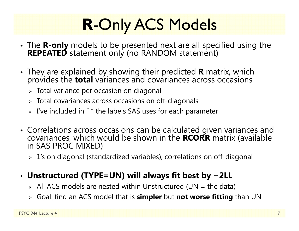# **R**-Only ACS Models

- The **R-only** models to be presented next are all specified using the **REPEATED** statement only (no RANDOM statement)
- They are explained by showing their predicted **<sup>R</sup>** matrix, which provides the **total** variances and covariances across occasions
	- $\triangleright\;$  Total variance per occasion on diagonal
	- $\triangleright$  Total covariances across occasions on off-diagonals
	- $\triangleright$  I've included in " " the labels SAS uses for each parameter
- Correlations across occasions can be calculated given variances and covariances, which would be shown in the **RCORR** matrix (available in SAS PROC MIXED)
	- 1's on diagonal (standardized variables), correlations on off-diagonal

#### • **Unstructured (TYPE=UN) will always fit best by −2LL**

- $\triangleright$  All ACS models are nested within Unstructured (UN = the data)
- Goal: find an ACS model that is **simpler** but **not worse fitting** than UN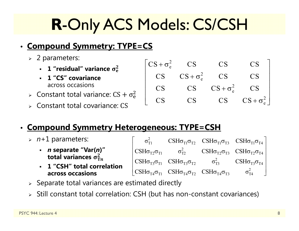# **R**-Only ACS Models: CS/CSH

#### • **Compound Symmetry: TYPE=CS**

- 2 parameters:
	- **1 "residual" variance** ો܍
	- **1 "CS" covariance**  across occasions
- $\triangleright$  Constant total variance: CS +  $\sigma_{\rm e}^2$
- Constant total covariance: CS

#### • **Compound Symmetry Heterogeneous: TYPE=CSH**

- *<sup>n</sup>*+1 parameters:
	- *n* **separate "Var(***n***)" total variances**  $\sigma_{\text{Tn}}^2$
	- **1 "CSH" total correlationacross occasions**

| $\sigma_{\text{\tiny T1}}^2$ |                                                                                                                | $\text{CSH}\sigma_{\text{T1}}\sigma_{\text{T2}}$ $\text{CSH}\sigma_{\text{T1}}\sigma_{\text{T3}}$ $\text{CSH}\sigma_{\text{T1}}\sigma_{\text{T4}}$                        |
|------------------------------|----------------------------------------------------------------------------------------------------------------|---------------------------------------------------------------------------------------------------------------------------------------------------------------------------|
|                              |                                                                                                                | $\text{CSH}\sigma_{\text{T2}}\sigma_{\text{T1}}$ $\sigma_{\text{T2}}^2$ $\text{CSH}\sigma_{\text{T2}}\sigma_{\text{T3}}$ $\text{CSH}\sigma_{\text{T2}}\sigma_{\text{T4}}$ |
|                              | CSH $\sigma_{T3}\sigma_{T1}$ CSH $\sigma_{T3}\sigma_{T2}$ $\sigma_{T3}^2$ CSH $\sigma_{T3}\sigma_{T4}$         |                                                                                                                                                                           |
|                              | $\vert$ CSH $\sigma_{T4}\sigma_{T1}$ CSH $\sigma_{T4}\sigma_{T2}$ CSH $\sigma_{T4}\sigma_{T3}$ $\sigma_{T4}^2$ |                                                                                                                                                                           |

 $CS + \sigma_e^2$  CS CS CS

 $CS$   $CS + \sigma_e^2$  CS CS

 $\begin{bmatrix} \nCS + \sigma_e^2 & CS & CS & CS \\
CS & CS + \sigma_e^2 & CS & CS \\
CS & CS & CS + \sigma_e^2 & CS \\
CS & CS & CS + \sigma_e^2 & CS \\
CS & CS & CS & CS + \sigma_e^2\n\end{bmatrix}$ 

**CS** 

 $CS$   $CS$   $CS + \sigma_e^2$   $CS$ 

2 e

CS CS CS CS

- $\triangleright$  Separate total variances are estimated directly
- Still constant total correlation: CSH (but has non-constant covariances)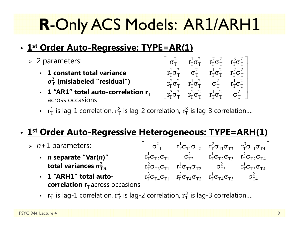# **R**-Only ACS Models: AR1/ARH1

## • **1st Order Auto-Regressive: TYPE=AR(1)**

- 2 parameters:
	- **1 constant total variance**   $\sigma_T^2$  (mislabeled "residual")
	- **-** 1 "AR1" total auto-correlation r<sub>T</sub> across occasions

$$
\left[ \begin{matrix} \sigma_T^2 & r_T^1 \sigma_T^2 & r_T^2 \sigma_T^2 & r_T^3 \sigma_T^2 \\ r_T^1 \sigma_T^2 & \sigma_T^2 & r_T^1 \sigma_T^2 & r_T^2 \sigma_T^2 \\ r_T^2 \sigma_T^2 & r_T^1 \sigma_T^2 & \sigma_T^2 & r_T^1 \sigma_T^2 \\ r_T^3 \sigma_T^2 & r_T^2 \sigma_T^2 & r_T^1 \sigma_T^2 & \sigma_T^2 \end{matrix} \right]
$$

**•**  $r_T^1$  is lag-1 correlation,  $r_T^2$  is lag-2 correlation,  $r_T^3$  is lag-3 correlation....

#### • **1st Order Auto-Regressive Heterogeneous: TYPE=ARH(1)**

- *<sup>n</sup>*+1 parameters:
	- *n* **separate "Var(***n***)" total variances**  $\sigma_{\text{T}n}^2$
	- **1 "ARH1" total autocorrelation r<sub>T</sub> across occasions**
- $\sigma_{\text{T1}}^2$   $\text{r}_\text{T}^1 \sigma_{\text{T1}} \sigma_{\text{T2}}$   $\text{r}_\text{T}^2 \sigma_{\text{T1}} \sigma_{\text{T3}}$   $\text{r}_\text{T}^3 \sigma_{\text{T1}} \sigma_{\text{T4}}$  $\rm r_I^{1}\sigma_{T2}\sigma_{T1}^{ }$   $\rm \sigma_{T2}^{2}$   $\rm \sigma_{T2}^{1}\sigma_{T2}\sigma_{T3}^{ }$   $\rm \sigma_{T}^{2}\sigma_{T2}\sigma_{T4}^{ }$  $\mathrm{r}_\mathrm{T}^2\sigma_{\mathrm{T}3}\sigma_{\mathrm{T}1}$   $\mathrm{r}_\mathrm{T}^1\sigma_{\mathrm{T}3}\sigma_{\mathrm{T}2}$   $\mathrm{\sigma}_\mathrm{T3}^2$   $\mathrm{r}_\mathrm{T}^1\sigma_{\mathrm{T}3}\sigma_{\mathrm{T}4}$  $r_1^3 \sigma_{T4} \sigma_{T1}$   $r_1^2 \sigma_{T4} \sigma_{T2}$   $r_1^1 \sigma_{T4} \sigma_{T3}$   $\sigma_{T4}^2$  $\begin{bmatrix} \sigma_{T1}^2 & r_T^1 \sigma_{T1} \sigma_{T2} & r_T^2 \sigma_{T1} \sigma_{T3} & r_T^3 \sigma_{T1} \sigma_{T4} \ 1 & 2 & 1 \end{bmatrix}$  $\left[ \begin{matrix} r_{T}^{2}\sigma_{T2}\sigma_{T1} & \sigma_{T2}^{2} & r_{T}^{2}\sigma_{T2}\sigma_{T3} & r_{T}^{2}\sigma_{T2}\sigma_{T4} \ r_{T}^{2}\sigma_{T3}\sigma_{T1} & r_{T}^{1}\sigma_{T3}\sigma_{T2} & \sigma_{T3}^{2} & r_{T}^{1}\sigma_{T3}\sigma_{T4} \ r_{T}^{3}\sigma_{T4}\sigma_{T1} & r_{T}^{2}\sigma_{T4}\sigma_{T2} & r_{T}^{1}\sigma_{T4}\sigma_{T3} & \sigma_{T4}^{2} \end{matrix} \right]$ 
	- **•**  $r_T^1$  is lag-1 correlation,  $r_T^2$  is lag-2 correlation,  $r_T^3$  is lag-3 correlation....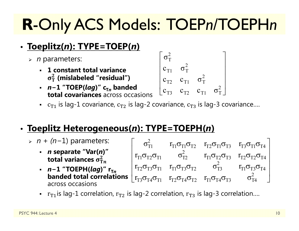# **R**-Only ACS Models: TOEP*n*/TOEPH*<sup>n</sup>*

## • **Toeplitz(***n***): TYPE=TOEP(***n***)**

- *<sup>n</sup>* parameters:
	- **1 constant total variance**   $\sigma_T^2$  (mislabeled "residual")
	- **∙** *n−*1 "TOEP(*lag*)" c<sub>T*n*</sub> banded **total covariances** across occasions

$$
\begin{bmatrix}\n\sigma_T^2 & & & & \\
c_{T1} & \sigma_T^2 & & & \\
c_{T2} & c_{T1} & \sigma_T^2 & \\
c_{T3} & c_{T2} & c_{T1} & \sigma_T^2\n\end{bmatrix}
$$

-  $\,$   $\,$   $\rm c_{T1}$  is lag-1 covariance,  $\rm c_{T2}$  is lag-2 covariance  $\rm c_{T3}$  is lag-3 covariance….

## • **Toeplitz Heterogeneous(***n***): TYPE=TOEPH(***n***)**

- *n + (n*−1) parameters: *n* **separate "Var(***n***)" total variances**  $\sigma_{\text{Tn}}^2$ *∙ n−*1 "TOEPH(*lag*)" r<sub>T*n*</sub> **banded total correlations**  $\begin{bmatrix} r_{T1}\sigma_{T2}\sigma_{T1} & \sigma_{T2}^2 & r_{T1}\sigma_{T2}\sigma_{T3} & r_{T2}\sigma_{T2}\sigma_{T4} \ r_{T2}\sigma_{T3}\sigma_{T1} & r_{T1}\sigma_{T3}\sigma_{T2} & \sigma_{T3}^2 & r_{T1}\sigma_{T3}\sigma_{T4} \end{bmatrix}$ <br> **banded total correlations**  $\begin{bmatrix} r_{T2}\sigma_{T3}\sigma_{T1} & r_{T1}\sigma_{T3}\sigma_{T$ across occasions $\sigma_{\text{T1}}^2$  r<sub>t1</sub> $\sigma_{\text{T1}}\sigma_{\text{T2}}$  r<sub>t2</sub> $\sigma_{\text{T1}}\sigma_{\text{T3}}$  r<sub>t3</sub> $\sigma_{\text{T1}}\sigma_{\text{T4}}$  $\rm r_{T1}\sigma_{T2}\sigma_{T1} \qquad \, \sigma_{T2}^2 \qquad \, \rm r_{T1}\sigma_{T2}\sigma_{T3} \quad \, \rm r_{T2}\sigma_{T2}\sigma_{T4}$  $\rm r_{T2}\sigma_{T3}\sigma_{T1}$   $\rm r_{T1}\sigma_{T3}\sigma_{T2}$   $\rm \sigma_{T3}^2$   $\rm \sigma_{T1}\sigma_{T3}\sigma_{T4}$  $\begin{bmatrix} \sigma_{T1}^2 & r_{T1}\sigma_{T1}\sigma_{T2} & r_{T2}\sigma_{T1}\sigma_{T3} & r_{T3}\sigma_{T1}\sigma_{T4} \ 2 & 1 & 1 \end{bmatrix}$ 
	- **•**  $r_{T1}$ is lag-1 correlation,  $r_{T2}$  is lag-2 correlation,  $r_{T3}$  is lag-3 correlation….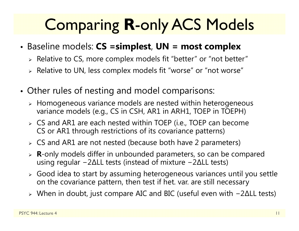# Comparing **R**-only ACS Models

- Baseline models: **CS =simplest**, **UN = most complex**
	- $\triangleright$  Relative to CS, more complex models fit "better" or "not better"
	- $\triangleright$  Relative to UN, less complex models fit "worse" or "not worse"
- • Other rules of nesting and model comparisons:
	- $\triangleright$  Homogeneous variance models are nested within heterogeneous variance models (e.g., CS in CSH, AR1 in ARH1, TOEP in TOEPH)
	- CS and AR1 are each nested within TOEP (i.e., TOEP can become CS or AR1 through restrictions of its covariance patterns)
	- CS and AR1 are not nested (because both have 2 parameters)
	- **R**-only models differ in unbounded parameters, so can be compared using regular −2∆LL tests (instead of mixture −2∆LL tests)
	- $\triangleright$  Good idea to start by assuming heterogeneous variances until you settle on the covariance pattern, then test if het. var. are still necessary
	- When in doubt, just compare AIC and BIC (useful even with −2∆LL tests)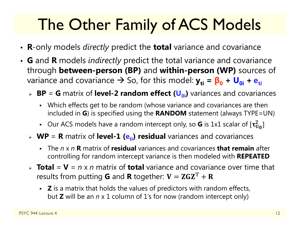# The Other Family of ACS Models

- **R**-only models *directly* predict the **total** variance and covariance
- **G** and **R** models *indirectly* predict the total variance and covariance through **between-person (BP)** and **within-person (WP)** sources of variance and covariance → So, for this model:  $y_{ti}$  =  $β_0 + ∪_{0i} + e_{ti}$ 
	- > BP = G matrix of level-2 random effect (U<sub>0i</sub>) variances and covariances
		- Which effects get to be random (whose variance and covariances are then included in **G**) is specified using the **RANDOM** statement (always TYPE=UN)
		- Our ACS models have a random intercept only, so **G** is 1x1 scalar of  $[\tau_U^2]$  $_{\rm U_0}^2]$
	- **WP** = **R** matrix of **level-1 (e<sub>ti</sub>) residual** variances and covariances
		- ٠ The *n* x *n***R** matrix of **residual** variances and covariances **that remain** after controlling for random intercept variance is then modeled with **REPEATED**
	- > **Total** = **V** = *n* x *n* matrix of **total** variance and covariance over time that results from putting **G** and **R** together:  $\mathbf{V} = \mathbf{ZGZ}^\mathrm{T} + \mathbf{R}$ 
		- **Z** is a matrix that holds the values of predictors with random effects, but **Z** will be an *n* x 1 column of 1's for now (random intercept only)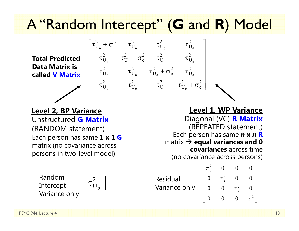## A "Random Intercept" ( **G** and **R**) Model

 $\begin{array}{ccc} 0 & \mathbf{c} & \mathbf{c}_0 & \mathbf{c}_0 \end{array}$ 

 $\tau^2_{\rm U_o}$  +  $\sigma^2_{\rm e}$  +  $\tau^2_{\rm U_o}$  +  $\tau^2_{\rm U_o}$ 

 $\tau^2_{\rm U_o} \qquad \tau^2_{\rm U_o} \qquad \tau^2_{\rm U_o} + \sigma^2_{\rm e} \qquad \tau^2_{\rm U_o}$  $\left[ \begin{matrix} \tau_{U_0}^2 + \sigma_{e}^2 & \tau_{U_0}^2 & \tau_{U_0}^2 & \tau_{U_0}^2 \ \tau_{U_0}^2 & \tau_{U_0}^2 + \sigma_{e}^2 & \tau_{U_0}^2 & \tau_{U_0}^2 \ \tau_{U_0}^2 & \tau_{U_0}^2 & \tau_{U_0}^2 + \sigma_{e}^2 & \tau_{U_0}^2 \ \tau_{U_0}^2 & \tau_{U_0}^2 & \tau_{U_0}^2 & \tau_{U_0}^2 + \sigma_{e}^2 \end{matrix} \right]$ 

 $\tau_{\rm U_{_0}}^2 + \sigma_{\rm e}^2$   $\tau_{\rm U_{_0}}^2$   $\tau_{\rm U_{_0}}^2$   $\tau_{\rm U_{_0}}^2$ 

0  $\sigma_0$  c  $\sigma_0$  c  $\sigma_0$ 

0  $\cup_0$   $\cup_0$   $\cup_0$   $\cup_0$ 

0  $\cup_0$   $\cup_0$   $\cup_0$ 

**Total Predicted Data Matrix is called V Matrix**

Unstructured **G Matrix**(RANDOM statement) Each person has same **1 x 1 G** matrix (no covariance across persons in two-level model) **Level 2, BP Variance Level 1, WP Variance**

0 $\left[\, \tau_{\mathrm{U}_{{}_{0}}}^2\,\right]$ Random Intercept Variance only

Diagonal (VC) **R Matrix** (REPEATED statement) Each person has same *n* **x**  *n* **R** matrix **equal variances and 0 covariances** across time (no covariance across persons)

Residual Variance only 2 e 2 e 2 e  $\sigma_{0}^{2}$  0 0 0  $0 \quad \sigma_{\circ}^2 \quad 0 \quad 0$  $0$   $0$   $σ<sup>2</sup>$   $0$ 000 σ  $\left[ \begin{matrix} \sigma_{\rm e}^2 & 0 & 0 & 0 \ 0 & \sigma_{\rm e}^2 & 0 & 0 \ 0 & 0 & \sigma_{\rm e}^2 & 0 \ 0 & 0 & 0 & \sigma_{\rm e}^2 \end{matrix} \right]$ 

2 e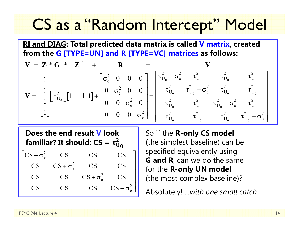## CS as a "Random Intercept" Model

**RI and DIAG: Total predicted data matrix is called V matrix, created from the G [TYPE=UN] and R [TYPE=VC] matrices as follows:**

$$
\mathbf{V} = \mathbf{Z} \cdot \mathbf{G} \cdot \mathbf{Z}^{T} + \mathbf{R} = \mathbf{V}
$$
  
\n
$$
\mathbf{V} = \begin{bmatrix} 1 \\ 1 \\ 1 \\ 1 \end{bmatrix} \begin{bmatrix} \tau_{U_{0}}^{2} \end{bmatrix} \begin{bmatrix} 1 & 1 & 1 & 1 \end{bmatrix} + \begin{bmatrix} \sigma_{e}^{2} & 0 & 0 & 0 \\ 0 & \sigma_{e}^{2} & 0 & 0 \\ 0 & 0 & \sigma_{e}^{2} & 0 \\ 0 & 0 & 0 & \sigma_{e}^{2} \end{bmatrix} = \begin{bmatrix} \tau_{U_{0}}^{2} + \sigma_{e}^{2} & \tau_{U_{0}}^{2} & \tau_{U_{0}}^{2} & \tau_{U_{0}}^{2} \\ \tau_{U_{0}}^{2} & \tau_{U_{0}}^{2} + \sigma_{e}^{2} & \tau_{U_{0}}^{2} \\ \tau_{U_{0}}^{2} & \tau_{U_{0}}^{2} & \tau_{U_{0}}^{2} + \sigma_{e}^{2} \\ \tau_{U_{0}}^{2} & \tau_{U_{0}}^{2} & \tau_{U_{0}}^{2} & \tau_{U_{0}}^{2} + \sigma_{e}^{2} \end{bmatrix}
$$

**Does the end result V look**  familiar? It should:  $\mathsf{CS} = \mathsf{\tau}^2_\mathsf{U}$ 2<br>U 0

 $CS + \sigma_e^2$  CS CS CS  $CS$   $CS + \sigma_e^2$  CS CS  $CS$   $CS$   $CS + \sigma_e^2$   $CS$  $CS$  CS CS  $CS + \sigma_e^2$  $CS$  $\begin{bmatrix} \nCS + \sigma_e^2 & CS & CS & CS \\
CS & CS + \sigma_e^2 & CS & CS \\
CS & CS & CS + \sigma_e^2 & CS \\
CS & CS & CS & CS + \sigma_e^2\n\end{bmatrix}$ 

So if the **R-only CS model**  (the simplest baseline) can be specified equivalently using **G and R**, can we do the same for the **R-only UN model** (the most complex baseline)?

Absolutely! *...with one small catch*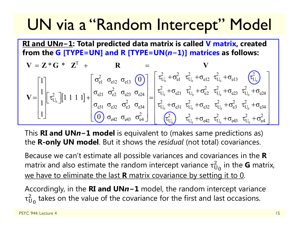## UN via a "Random Intercept" Model

**RI and UN** *n* **<sup>−</sup>1: Total predicted data matrix is called V matrix, created from the G [TYPE=UN] and R [TYPE=UN(** *n* **<sup>−</sup>1)] matrices as follows:**

$$
\mathbf{V} = \mathbf{Z} \cdot \mathbf{G} \cdot \mathbf{Z}^{T} + \mathbf{R} = \mathbf{V}
$$
\n
$$
\mathbf{V} = \begin{bmatrix} 1 \\ 1 \\ 1 \end{bmatrix} \begin{bmatrix} \tau_{U_{0}}^{2} \end{bmatrix} \begin{bmatrix} 1 & 1 & 1 & 1 \end{bmatrix} + \begin{bmatrix} \sigma_{e1}^{2} & \sigma_{e1}^{2} & \sigma_{e1}^{2} & \sigma_{e2}^{2} \\ \sigma_{e21} & \sigma_{e2}^{2} & \sigma_{e2}^{2} & \sigma_{e2}^{2} \\ \sigma_{e31} & \sigma_{e32} & \sigma_{e3}^{2} & \sigma_{e3}^{2} \\ \sigma_{e42} & \sigma_{e43} & \sigma_{e4}^{2} \end{bmatrix} = \begin{bmatrix} \tau_{U_{0}}^{2} + \sigma_{e1}^{2} & \tau_{U_{0}}^{2} + \sigma_{e1}^{2} & \tau_{U_{0}}^{2} + \sigma_{e1}^{2} & \tau_{U_{0}}^{2} + \sigma_{e2}^{2} \\ \tau_{U_{0}}^{2} + \sigma_{e21} & \tau_{U_{0}}^{2} + \sigma_{e22} & \tau_{U_{0}}^{2} + \sigma_{e2}^{2} & \tau_{U_{0}}^{2} + \sigma_{e3}^{2} \\ \tau_{U_{0}}^{2} + \sigma_{e1}^{2} & \tau_{U_{0}}^{2} + \sigma_{e2}^{2} & \tau_{U_{0}}^{2} + \sigma_{e3}^{2} \\ \tau_{U_{0}}^{2} & \tau_{U_{0}}^{2} + \sigma_{e42} & \tau_{U_{0}}^{2} + \sigma_{e43}^{2} & \tau_{U_{0}}^{2} + \sigma_{e4}^{2} \end{bmatrix}
$$

This **RI and UN** *n* **<sup>−</sup>1 model** is equivalent to (makes same predictions as) the **R-only UN model**. But it shows the *residual* (not total) covariances.

Because we can't estimate all possible variances and covariances in the **R** matrix and also estimate the random intercept variance  $\tau_\mathrm{U}^2$  $^2_{\mathrm{U}_\mathrm{0}}$  in the **G** matrix, we have to eliminate the last **R** matrix covariance by setting it to 0.

Accordingly, in the **RI and UN** *n* **<sup>−</sup>1** model, the random intercept variance  $\tau_{\rm U}$  $_{\rm U_0}^2$  takes on the value of the covariance for the first and last occasions.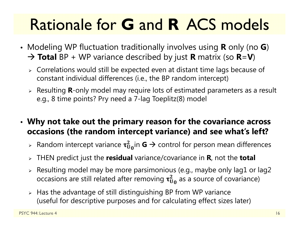# Rationale for **G** and **R** ACS models

- Modeling WP fluctuation traditionally involves using **R** only (no **G**) **Total** BP + WP variance described by just **R** matrix (so **R**=**V**)
	- $\triangleright$  Correlations would still be expected even at distant time lags because of constant individual differences (i.e., the BP random intercept)
	- Resulting **R**-only model may require lots of estimated parameters as a result e.g., 8 time points? Pry need a 7-lag Toeplitz(8) model
- **Why not take out the primary reason for the covariance across occasions (the random intercept variance) and see what's left?**
	- $\triangleright$  Random intercept variance  $\tau^2_{\mathrm{U_0}}$ in **G**  $\rightarrow$  control for person mean differences
	- THEN predict just the **residual** variance/covariance in **R**, not the **total**
	- $\triangleright$  Resulting model may be more parsimonious (e.g., maybe only lag1 or lag2  $\,$ occasions are still related after removing  $\boldsymbol{\tau_{U_0}^2}$  as a source of covariance)
	- $\triangleright$  Has the advantage of still distinguishing BP from WP variance (useful for descriptive purposes and for calculating effect sizes later)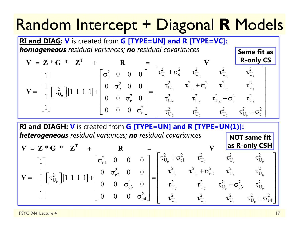## Random Intercept + Diagonal **R** Models



**RI and DIAGH: V** is created from **G [TYPE=UN] and R [TYPE=UN(1)]:** *heterogeneous residual variances; no residual covariances* **NOT same fit** 

$$
\mathbf{V} = \mathbf{Z} \cdot \mathbf{G} \cdot \mathbf{Z}^{\mathrm{T}} + \mathbf{R} = \begin{bmatrix} 1 \\ 1 \\ 1 \\ 1 \end{bmatrix} \begin{bmatrix} \tau_{U_0}^2 \end{bmatrix} \begin{bmatrix} 1 & 1 & 1 & 1 \end{bmatrix} + \begin{bmatrix} \sigma_{e1}^2 & 0 & 0 & 0 \\ 0 & \sigma_{e2}^2 & 0 & 0 \\ 0 & 0 & \sigma_{e3}^2 & 0 \\ 0 & 0 & 0 & \sigma_{e4}^2 \end{bmatrix} = \begin{bmatrix} \tau_{U_0}^2 + \sigma_{e1}^2 & \tau_{U_0}^2 & \tau_{U_0}^2 & \tau_{U_0}^2 \\ \tau_{U_0}^2 & \tau_{U_0}^2 + \sigma_{e2}^2 & \tau_{U_0}^2 & \tau_{U_0}^2 \\ \tau_{U_0}^2 & \tau_{U_0}^2 + \sigma_{e3}^2 & \tau_{U_0}^2 \\ \tau_{U_0}^2 & \tau_{U_0}^2 & \tau_{U_0}^2 & \tau_{U_0}^2 \\ \tau_{U_0}^2 & \tau_{U_0}^2 & \tau_{U_0}^2 & \tau_{U_0}^2 + \sigma_{e4}^2 \end{bmatrix}
$$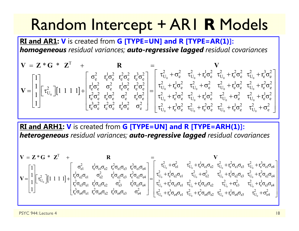## Random Intercept + AR1 **R** Models

**RI and AR1: V** is created from **G [TYPE=UN] and R [TYPE=AR(1)]:** *homogeneous residual variances; auto-regressive lagged residual covariances*

$$
\mathbf{V} = \begin{bmatrix} 1 \\ 1 \\ 1 \end{bmatrix} \begin{bmatrix} \tau_{U_0}^2 \end{bmatrix} \begin{bmatrix} 1 & 1 & 1 & 1 \end{bmatrix} + \begin{bmatrix} \sigma_e^2 & r_e^1 \sigma_e^2 & r_e^2 \sigma_e^2 & r_e^1 \sigma_e^2 & \sigma_e^2 \end{bmatrix} = \begin{bmatrix} \tau_{U_0}^2 + \sigma_e^2 & \tau_{U_0}^2 + r_e^1 \sigma_e^2 & \tau_{U_0}^2 + r_e^2 \sigma_e^2 & \tau_{U_0}^2 + r_e^3 \sigma_e^2 \\ r_e^1 \sigma_e^2 & r_e^1 \sigma_e^2 & r_e^1 \sigma_e^2 & r_e^2 \sigma_e^2 \\ r_e^2 \sigma_e^2 & r_e^1 \sigma_e^2 & \sigma_e^2 & r_e^1 \sigma_e^2 \end{bmatrix} = \begin{bmatrix} \tau_{U_0}^2 + \sigma_e^2 & \tau_{U_0}^2 + r_e^1 \sigma_e^2 & \tau_{U_0}^2 + r_e^2 \sigma_e^2 & \tau_{U_0}^2 + r_e^2 \sigma_e^2 \\ \tau_{U_0}^2 + r_e^2 \sigma_e^2 & \tau_{U_0}^2 + r_e^1 \sigma_e^2 & \tau_{U_0}^2 + r_e^1 \sigma_e^2 & \tau_{U_0}^2 + r_e^1 \sigma_e^2 \\ \tau_{U_0}^2 + r_e^3 \sigma_e^2 & \tau_{U_0}^2 + r_e^2 \sigma_e^2 & \tau_{U_0}^2 + r_e^1 \sigma_e^2 & \tau_{U_0}^2 + r_e^1 \sigma_e^2 & \tau_{U_0}^2 + \sigma_e^2 \end{bmatrix}
$$

**RI and ARH1: V** is created from **G [TYPE=UN] and R [TYPE=ARH(1)]:** *heterogeneous residual variances; auto-regressive lagged residual covariances*

$$
\mathbf{V} = \begin{bmatrix} 1 \\ 1 \\ 1 \end{bmatrix} \begin{bmatrix} \tau_{U_0}^2 \end{bmatrix} \begin{bmatrix} 1 & 1 & 1 & 1 \end{bmatrix} + \begin{bmatrix} \sigma_{e1}^2 & \tau_e^1 \sigma_{e1} \sigma_{e2} & \tau_e^2 \sigma_{e1} \sigma_{e3} & \tau_e^3 \sigma_{e1} \sigma_{e3} \\ \tau_e^2 \sigma_{e2} \sigma_{e1} & \sigma_{e2}^2 & \tau_e^1 \sigma_{e2} \sigma_{e3} & \tau_e^2 \sigma_{e2} \sigma_{e4} \\ \tau_e^3 \sigma_{e3} \sigma_{e1} & \tau_e^1 \sigma_{e3} \sigma_{e2} & \sigma_{e3}^2 & \tau_e^1 \sigma_{e3} \sigma_{e4} \\ \tau_e^3 \sigma_{e4} \sigma_{e1} & \tau_e^2 \sigma_{e4} \sigma_{e2} & \tau_e^1 \sigma_{e4} \sigma_{e3} & \sigma_{e4}^2 \end{bmatrix} = \begin{bmatrix} \tau_{U_0}^2 + \sigma_{e1}^2 & \tau_{U_0}^2 + \tau_e^1 \sigma_{e1} \sigma_{e2} & \tau_{U_0}^2 + \tau_e^2 \sigma_{e1} \sigma_{e3} & \tau_{U_0}^2 + \tau_e^3 \sigma_{e2} \sigma_{e3} \\ \tau_{U_0}^2 + \tau_e^2 \sigma_{e3} \sigma_{e1} & \tau_{U_0}^2 + \tau_e^2 \sigma_{e3} \sigma_{e2} & \tau_{U_0}^2 + \tau_e^1 \sigma_{e2} \sigma_{e3} & \tau_{U_0}^2 + \tau_e^1 \sigma_{e3} \sigma_{e4} \\ \tau_{U_0}^2 + \tau_e^3 \sigma_{e4} \sigma_{e1} & \tau_{U_0}^2 + \tau_e^3 \sigma_{e4} \sigma_{e1} & \tau_{U_0}^2 + \tau_e^2 \sigma_{e4} \sigma_{e1} & \tau_{U_0}^2 + \tau_e^2 \sigma_{e4} \sigma_{e2} & \tau_{U_0}^2 + \tau_e^1 \sigma_{e4} \sigma_{e3} & \tau_{U_0}^2 + \sigma_{e4}^2 \end{bmatrix}
$$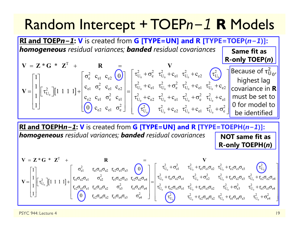#### Random Intercept + TOEP *n 1* **R** Models

**RI and TOEPn−1: V** is created from G [TYPE=UN] and R [TYPE=TOEP(n−1)]: *homogeneous residual variances; banded residual covariances*  $\begin{bmatrix} 1 & 1 & 1 & 1 \end{bmatrix}$ 0 c  $C_0$  c  $C_0$  c  $C_2$  or  $\boldsymbol{0}$  $<sup>0</sup>$ </sup> T  $\begin{array}{ccc} \text{2} & \text{c}_{\text{e1}} & \text{c}_{\text{e2}} \end{array}$  (0)  $\begin{array}{ccc} \text{1} & \tau_{\text{U}_0}^2 + \sigma_{\text{e}}^2 & \tau_{\text{U}_0}^2 + \text{c}_{\text{e1}} & \tau_{\text{U}_0}^2 + \text{c}_{\text{e2}} \end{array}$  ( $\tau_{\text{U}}^2$  $\begin{bmatrix} 2 \\ U_0 \end{bmatrix} [1 \; 1 \; 1 \; 1] + \begin{bmatrix} c_{e1} & \sigma_e^2 & c_{e1} & c_{e2} \\ c_{e2} & c_{e1} & \sigma_e^2 & c_{e1} \end{bmatrix} = \begin{bmatrix} \tau_U^2 \\ \tau_{U}^2 \end{bmatrix}$  $_{\rm e2}$   $\rm c_{\rm e1}$   $\rm \sigma_{\rm e}^2$  $Z^*G^*$ 1  $\sigma_{\rm e}^2$  c<sub>el</sub> c<sub>e2</sub> (0)  $\sigma_{\rm U_0}^2 + \sigma_{\rm e}^2$   $\tau_{\rm U_0}^2 + \sigma_{\rm e}^2$   $\tau_{\rm U_0}^2 + \sigma_{\rm C}^2$  $\begin{array}{ccc} 1 & - \end{array}$  c  $\begin{array}{ccc} 0 & \alpha & \alpha \\ 0 & \alpha & \alpha \end{array}$  c  $\frac{1}{1}$  $\left[\begin{matrix} \tau_{U_0}^2 \end{matrix}\right]$  $\left[\begin{matrix} 1 & 1 & 1 & 1 \end{matrix}\right]$  $+ \left[\begin{matrix} c_1 & c_2 & c_1 \ c_{22} & c_{21} & \sigma_2^2 & c_1 \end{matrix}\right]$  $\begin{bmatrix} 1 \end{bmatrix}$   $\begin{bmatrix} 0 \end{bmatrix}$   $c_{\circ}$   $c_{\circ}$   $c_{\circ}$   $\sigma$  $= L^*G \cdot L^* + K =$  $= \begin{bmatrix} 1 \\ 1 \\ 1 \end{bmatrix} \begin{bmatrix} \tau_{U_0}^2 \end{bmatrix} \begin{bmatrix} 1 & 1 & 1 & 1 \end{bmatrix} + \begin{bmatrix} \sigma_e^2 & c_{e1} & c_{e2} & 0 \\ c_{e1} & \sigma_e^2 & c_{e1} & c_{e2} \\ c_{e2} & c_{e1} & \sigma_e^2 & c_{e1} \\ 0 & c_{e2} & c_{e1} & \sigma_e^2 \end{bmatrix} = \begin{bmatrix} \tau_{U_0}^2 + \sigma_e^2 & \tau_{U_0}^2 + c_{e1} & \tau_{U_0}^2 + c_{e2$  $V = Z * G * Z' + R = V$  $\mathbf{V} = \begin{bmatrix} 1 & 1 & 1 & 1 & 1 & 1 \end{bmatrix} + \begin{bmatrix} 1 & 1 & 1 & 1 & 1 \end{bmatrix} + \begin{bmatrix} 1 & 1 & 1 & 1 & 1 \end{bmatrix} + \begin{bmatrix} 1 & 1 & 1 & 1 & 1 & 1 \end{bmatrix} + \begin{bmatrix} 1 & 1 & 1 & 1 & 1 & 1 \end{bmatrix} + \begin{bmatrix} 1 & 1 & 1 & 1 & 1 & 1 \end{bmatrix} + \begin{bmatrix} 1 & 1 & 1 & 1 & 1 & 1 & 1 \end{bmatrix} + \begin{bmatrix}$ 0  $C_2$   $C_0$   $C_1$   $C_0$   $C_0$  $0 = 0$   $0 = 0$   $0 = 0$   $0 = 0$  $C_{\text{U}_0}^2 + C_{\text{e}1} \quad \tau_{\text{U}_0}^2 + \sigma_{\text{e}}^2 \quad \tau_{\text{U}_0}^2 + C_{\text{e}1} \quad \tau_{\text{U}_0}^2 + C_{\text{e}2}$  $C_{U_0}^2 + C_{e2} \tau_{U_0}^2 + C_{e1} \tau_{U_0}^2 + \sigma_e^2 \tau_{U_0}^2 + C_{e1}$  $\begin{pmatrix} 2 \\ U_0 \end{pmatrix}$   $\tau_{U_0}^2 + c_{e2} \tau_{U_0}^2 + c_{e1} \tau_{U_0}^2 + \sigma_e^2$  $c_{\scriptscriptstyle{\alpha1}}$   $\tau_{\scriptscriptstyle{\text{II}}}$   $+ \sigma_{\scriptscriptstyle{\alpha}}$   $\tau_{\scriptscriptstyle{\text{II}}}$   $+ c_{\scriptscriptstyle{\alpha1}}$   $\tau_{\scriptscriptstyle{\text{II}}}$   $+ c$  $c_{.2}$ ,  $\tau_{\text{II}}$  +  $c_{.1}$ ,  $\tau_{\text{II}}$  +  $\sigma_{.0}$ ,  $\tau_{\text{II}}$  +  $c$  $C_{\alpha2}$   $\tau_{11}$  +  $C$  $\begin{bmatrix} \tau_{U_0}^2 + \sigma_e^2 & \tau_{U_0}^2 + c_{e1} & \tau_{U_0}^2 + c_{e2} & \tau_{U_0}^2 \ \tau_{U_0}^2 + c_{e1} & \tau_{U_0}^2 + \sigma_e^2 & \tau_{U_0}^2 + c_{e1} & \tau_{U_0}^2 + c_{e2} \ \tau_{U_0}^2 + c_{e2} & \tau_{U_0}^2 + c_{e1} & \tau_{U_0}^2 + \sigma_e^2 & \tau_{U_0}^2 + c_{e1} \ \tau_{U_0}^2 & \tau_{U_0}^2 + c_{e2} & \tau$ **Same fit as R-only TOEP( )** *n* Because of  $\tau^z_\mathsf{U}$  $\begin{bmatrix} 2 \\ U_0 \end{bmatrix}$ highest lag covariance in **R** must be set to 0 for model to be identified

**RI and TOEPHn−1: V** is created from G [TYPE=UN] and R [TYPE=TOEPH(n−1)]: *homogeneous residual variances; banded residual covariances* **NOT same fit as R-only TOEPH(** *n* **)**

$$
\mathbf{V} = \mathbf{Z} \cdot \mathbf{G} \cdot \mathbf{Z}^{T} + \mathbf{R}
$$
\n
$$
\mathbf{V} = \begin{bmatrix} 1 \\ 1 \\ 1 \\ 1 \end{bmatrix} \begin{bmatrix} \tau_{c1}^{2} \\ \tau_{c2}^{2} \\ \tau_{c3}^{2} \end{bmatrix} \begin{bmatrix} 1 & 1 & 1 & 1 \end{bmatrix} + \begin{bmatrix} \sigma_{e1}^{2} & \tau_{e1} \sigma_{e1} \sigma_{e2} & \tau_{e2} \sigma_{e1} \sigma_{e3} & \sigma_{e3}^{2} \\ \tau_{e1} \sigma_{e2} \sigma_{e3} & \tau_{e2} \sigma_{e2} \sigma_{e4} \\ \tau_{e1} \sigma_{e3} \sigma_{e2} & \tau_{e1} \sigma_{e3} \sigma_{e4} \end{bmatrix} = \begin{bmatrix} \tau_{U_{0}}^{2} + \sigma_{e1}^{2} & \tau_{U_{0}}^{2} + \tau_{e1} \sigma_{e1} \sigma_{e2} & \tau_{U_{0}}^{2} + \tau_{e2} \sigma_{e1} \sigma_{e3} & \tau_{U_{0}}^{2} + \tau_{e2} \sigma_{e2} \sigma_{e4} \\ \tau_{CU_{0}}^{2} + \tau_{e1} \sigma_{e2} \sigma_{e3} & \tau_{U_{0}}^{2} + \tau_{e1} \sigma_{e2} \sigma_{e3} & \tau_{U_{0}}^{2} + \tau_{e2} \sigma_{e2} \sigma_{e4} \\ \tau_{CU_{0}}^{2} + \tau_{e2} \sigma_{e3} \sigma_{e1} & \tau_{U_{0}}^{2} + \tau_{e1} \sigma_{e3} \sigma_{e2} & \tau_{U_{0}}^{2} + \tau_{e1} \sigma_{e3} \sigma_{e4} \\ \tau_{U_{0}}^{2} + \tau_{e2} \sigma_{e4} \sigma_{e2} & \tau_{U_{0}}^{2} + \tau_{e1} \sigma_{e4} \sigma_{e3} & \tau_{U_{0}}^{2} + \tau_{e1} \sigma_{e4} \sigma_{e3} & \tau_{U_{0}}^{2} + \tau_{e1} \sigma_{e4} \sigma_{e3} \end{bmatrix}
$$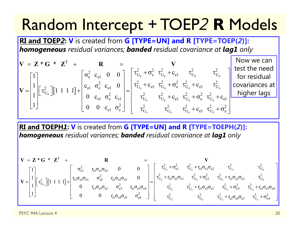## Random Intercept + TOEP *2* **R** Models

**RI and TOEP** *2***: V** is created from **G [TYPE=UN] and R [TYPE=TOEP(** *2***)]:**  *homogeneous residual variances; banded residual covariance at lag1 only*

$$
\mathbf{V} = \mathbf{Z} \cdot \mathbf{G} \cdot \mathbf{Z}^{\mathrm{T}} + \mathbf{R} = \mathbf{V}
$$
  
\n
$$
\mathbf{V} = \begin{bmatrix} 1 \\ 1 \\ 1 \end{bmatrix} \begin{bmatrix} \tau_{U_{0}}^{2} \end{bmatrix} \begin{bmatrix} 1 & 1 & 1 & 1 \end{bmatrix} + \begin{bmatrix} \sigma_{e}^{2} & \mathbf{c}_{e1} & 0 & 0 \\ \mathbf{c}_{e1} & \sigma_{e}^{2} & \mathbf{c}_{e1} & 0 \\ 0 & \mathbf{c}_{e1} & \sigma_{e}^{2} & \mathbf{c}_{e1} \\ 0 & 0 & \mathbf{c}_{e1} & \sigma_{e}^{2} \end{bmatrix} = \begin{bmatrix} \tau_{U_{0}}^{2} + \sigma_{e}^{2} & \tau_{U_{0}}^{2} + \mathbf{c}_{e1} & \tau_{U_{0}}^{2} \\ \tau_{U_{0}}^{2} + \mathbf{c}_{e1} & \tau_{U_{0}}^{2} + \mathbf{c}_{e1} & \tau_{U_{0}}^{2} + \mathbf{c}_{e1} & \tau_{U_{0}}^{2} \\ \tau_{U_{0}}^{2} & \tau_{U_{0}}^{2} + \mathbf{c}_{e1} & \tau_{U_{0}}^{2} + \mathbf{c}_{e1} & \tau_{U_{0}}^{2} + \mathbf{c}_{e1} \end{bmatrix} \begin{bmatrix} \text{Now we can} \\ \text{for residual} \\ \text{covariances at} \\ \text{higher lags} \end{bmatrix}
$$

**RI and TOEPH** *1***: V** is created from **G [TYPE=UN] and R [TYPE=TOEPH(** *2***)]:**  *homogeneous residual variances; banded residual covariance at lag1 only*

$$
\mathbf{V} = \mathbf{Z} \cdot \mathbf{G} \cdot \mathbf{Z}^{T} + \mathbf{R}
$$
\n
$$
\mathbf{V} = \begin{bmatrix} 1 \\ 1 \\ 1 \\ 1 \end{bmatrix} \begin{bmatrix} \tau_{c1}^{2} \\ \tau_{c2}^{2} \\ \tau_{c1}^{2} \end{bmatrix} \begin{bmatrix} 1 & 1 & 1 & 1 \end{bmatrix} + \begin{bmatrix} \sigma_{e1}^{2} & \tau_{e1} \sigma_{e2} \sigma_{e1} & \sigma_{e2}^{2} & \tau_{e1} \sigma_{e2} \sigma_{e3} & 0 \\ 0 & \tau_{e1} \sigma_{e2} \sigma_{e2} & \sigma_{e3}^{2} & \tau_{e1} \sigma_{e2} \sigma_{e4} \\ 0 & 0 & \tau_{e1} \sigma_{e4} \sigma_{e3} & \sigma_{e4}^{2} \end{bmatrix} = \begin{bmatrix} \tau_{U_{0}}^{2} + \sigma_{e1}^{2} & \tau_{U_{0}}^{2} + \tau_{e1} \sigma_{e1} \sigma_{e2} & \tau_{U_{0}}^{2} + \tau_{e1} \sigma_{e2} \sigma_{e3} & \tau_{U_{0}}^{2} \\ \tau_{U_{0}}^{2} + \tau_{e1} \sigma_{e3} \sigma_{e2} & \tau_{U_{0}}^{2} + \tau_{e1} \sigma_{e3} \sigma_{e2} & \tau_{U_{0}}^{2} + \tau_{e1} \sigma_{e3} \sigma_{e4} \\ \tau_{U_{0}}^{2} & \tau_{U_{0}}^{2} + \tau_{e1} \sigma_{e4} \sigma_{e3} & \tau_{U_{0}}^{2} + \tau_{e1} \sigma_{e4} \sigma_{e3} & \tau_{U_{0}}^{2} + \sigma_{e4}^{2} \end{bmatrix}
$$

PSYC 944: Lecture 4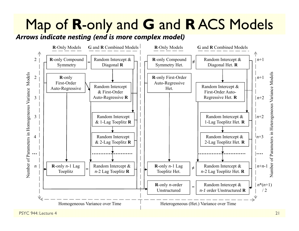## Map of **R**-only and **G** and **R** ACS Models

*Arrows indicate nesting (end is more complex model)*



PSYC 944: Lecture 4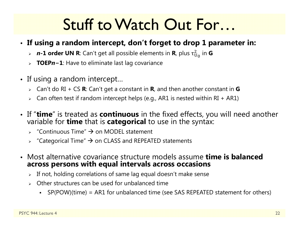## Stuff to Watch Out For…

#### • **If using a random intercept, don't forget to drop 1 parameter in:**

- *<sup>n</sup>***-1 order UN R**: Can't get all possible elements in **R**, plus τ  $^2_{\mathrm{U}_\mathrm{0}}$  in  $\mathsf{G}$
- **TOEP** *n* **− 1**: Have to eliminate last lag covariance
- If using a random intercept…
	- Can't do RI + CS **R**: Can't get a constant in **R**, and then another constant in **G**
	- $\triangleright$   $\;$  Can often test if random intercept helps (e.g., AR1 is nested within RI + AR1)
- If "**time**" is treated as **continuous** in the fixed effects, you will need another<br>variable for **time** that is **categorical** to use in the syntax: variable for **time** that is **categorical** to use in the syntax:
	- $\rightarrow$  "Continuous Time"  $\rightarrow$  on MODEL statement
	- $\triangleright$  "Categorical Time"  $\rightarrow$  on CLASS and REPEATED statements
- Most alternative covariance structure models assume **time is balanced across persons with equal intervals across occasions**
	- $\triangleright$  If not, holding correlations of same lag equal doesn't make sense
	- $\triangleright$  Other structures can be used for unbalanced time
		- SP(POW)(time) = AR1 for unbalanced time (see SAS REPEATED statement for others)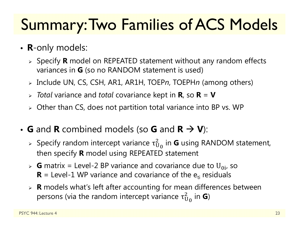# Summary: Two Families of ACS Models

- **R**-only models:
	- Specify **R** model on REPEATED statement without any random effects variances in **G** (so no RANDOM statement is used)
	- Include UN, CS, CSH, AR1, AR1H, TOEP *<sup>n</sup>*, TOEPH*n* (among others)
	- *Total* variance and *total* covariance kept in **R**, so **R** = **V**
	- $\triangleright$  Other than CS, does not partition total variance into BP vs. WP
- **G** and **R** combined models (so **G** and  $R \rightarrow V$ ):
	- » Specify random intercept variance  $\tau^2_{\mathrm{U}}$  $^2_{{\mathsf U}_0}$  in **G** using RANDOM statement, then specify **R** model using REPEATED statement
	- $\triangleright$  **G** matrix = Level-2 BP variance and covariance due to U<sub>0i</sub>, so  **= Level-1 WP variance and covariance of the**  $e_{ti}$  **residuals**
	- **R** models what's left after accounting for mean differences between persons (via the random intercept variance  $\tau_{\mathrm{U}}^2$  $^2_{\mathrm{U}_\mathrm{0}}$  in **G**)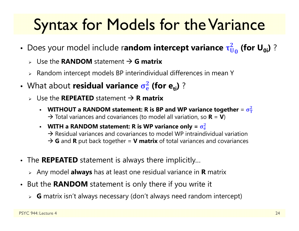# Syntax for Models for the Variance

- Does your model include r**andom intercept variance τ**ά  $\frac{2}{\bm{\mathsf{U}}_{\bm{0}}}$  (for U<sub>0i</sub>) ?
	- Use the **RANDOM** statement **G matrix**
	- $\triangleright$  Random intercept models BP interindividual differences in mean Y
- **•** What about residual variance  $\sigma_e^2$ <mark>2</mark> (for e<sub>ti</sub>) ?
	- Use the **REPEATED** statement **R matrix**
		- • WITHOUT a RANDOM statement: R is BP and WP variance together = σ<del>՞ր</del>  $\mathbf 2$  $\rightarrow$  Total variances and covariances (to model all variation, so **R** = **V**)
		- **• WITH a RANDOM statement: R is WP variance only**  $= \sigma_{\rm e}^2$  $\mathbf 2$  $\rightarrow$  Residual variances and covariances to model WP intraindividual variation → G and R put back together = V matrix of total variances and covariances
- The **REPEATED** statement is always there implicitly…
	- Any model **always** has at least one residual variance in **R** matrix
- But the **RANDOM** statement is only there if you write it
	- **G** matrix isn't always necessary (don't always need random intercept)